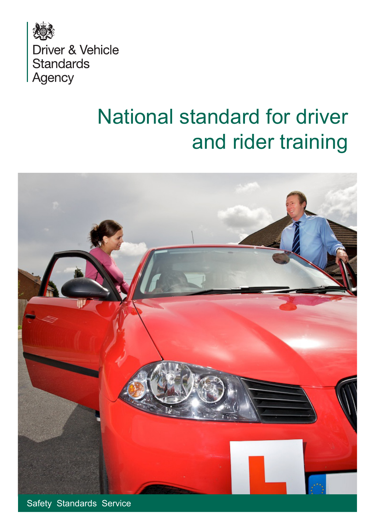

# National standard for driver and rider training



Safety Standards Service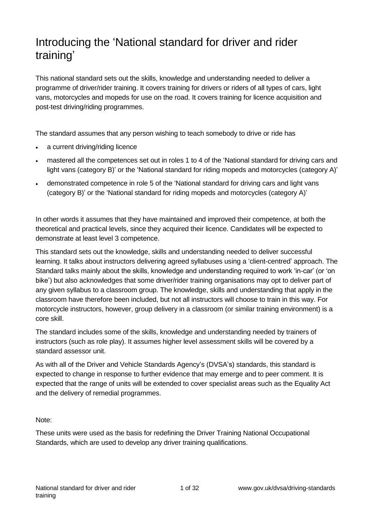# Introducing the 'National standard for driver and rider training'

This national standard sets out the skills, knowledge and understanding needed to deliver a programme of driver/rider training. It covers training for drivers or riders of all types of cars, light vans, motorcycles and mopeds for use on the road. It covers training for licence acquisition and post-test driving/riding programmes.

The standard assumes that any person wishing to teach somebody to drive or ride has

- a current driving/riding licence
- mastered all the competences set out in roles 1 to 4 of the 'National standard for driving cars and light vans (category B)' or the 'National standard for riding mopeds and motorcycles (category A)'
- demonstrated competence in role 5 of the 'National standard for driving cars and light vans (category B)' or the 'National standard for riding mopeds and motorcycles (category A)'

In other words it assumes that they have maintained and improved their competence, at both the theoretical and practical levels, since they acquired their licence. Candidates will be expected to demonstrate at least level 3 competence.

This standard sets out the knowledge, skills and understanding needed to deliver successful learning. It talks about instructors delivering agreed syllabuses using a 'client-centred' approach. The Standard talks mainly about the skills, knowledge and understanding required to work 'in-car' (or 'on bike') but also acknowledges that some driver/rider training organisations may opt to deliver part of any given syllabus to a classroom group. The knowledge, skills and understanding that apply in the classroom have therefore been included, but not all instructors will choose to train in this way. For motorcycle instructors, however, group delivery in a classroom (or similar training environment) is a core skill.

The standard includes some of the skills, knowledge and understanding needed by trainers of instructors (such as role play). It assumes higher level assessment skills will be covered by a standard assessor unit.

As with all of the Driver and Vehicle Standards Agency's (DVSA's) standards, this standard is expected to change in response to further evidence that may emerge and to peer comment. It is expected that the range of units will be extended to cover specialist areas such as the Equality Act and the delivery of remedial programmes.

Note:

These units were used as the basis for redefining the Driver Training National Occupational Standards, which are used to develop any driver training qualifications.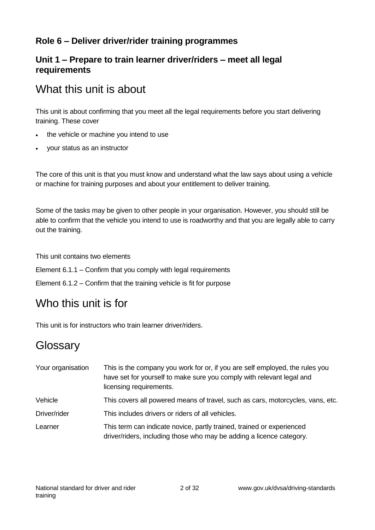### **Unit 1 – Prepare to train learner driver/riders – meet all legal requirements**

### What this unit is about

This unit is about confirming that you meet all the legal requirements before you start delivering training. These cover

- the vehicle or machine you intend to use
- your status as an instructor

The core of this unit is that you must know and understand what the law says about using a vehicle or machine for training purposes and about your entitlement to deliver training.

Some of the tasks may be given to other people in your organisation. However, you should still be able to confirm that the vehicle you intend to use is roadworthy and that you are legally able to carry out the training.

This unit contains two elements

- Element 6.1.1 Confirm that you comply with legal requirements
- Element 6.1.2 Confirm that the training vehicle is fit for purpose

# Who this unit is for

This unit is for instructors who train learner driver/riders.

| Your organisation | This is the company you work for or, if you are self employed, the rules you<br>have set for yourself to make sure you comply with relevant legal and<br>licensing requirements. |
|-------------------|----------------------------------------------------------------------------------------------------------------------------------------------------------------------------------|
| Vehicle           | This covers all powered means of travel, such as cars, motorcycles, vans, etc.                                                                                                   |
| Driver/rider      | This includes drivers or riders of all vehicles.                                                                                                                                 |
| Learner           | This term can indicate novice, partly trained, trained or experienced<br>driver/riders, including those who may be adding a licence category.                                    |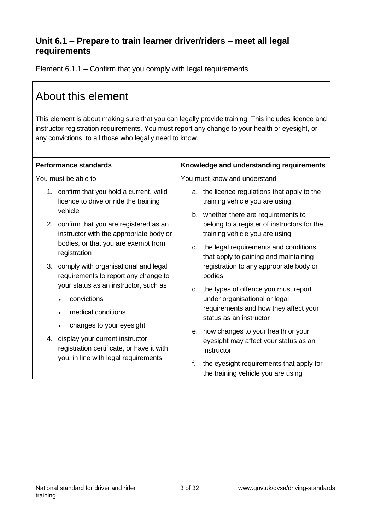### **Unit 6.1 – Prepare to train learner driver/riders – meet all legal requirements**

Element 6.1.1 – Confirm that you comply with legal requirements

# About this element

This element is about making sure that you can legally provide training. This includes licence and instructor registration requirements. You must report any change to your health or eyesight, or any convictions, to all those who legally need to know.

| <b>Performance standards</b> |                                                                                                                                                                                                                                                                           | Knowledge and understanding requirements                                                                              |
|------------------------------|---------------------------------------------------------------------------------------------------------------------------------------------------------------------------------------------------------------------------------------------------------------------------|-----------------------------------------------------------------------------------------------------------------------|
| You must be able to          |                                                                                                                                                                                                                                                                           | You must know and understand                                                                                          |
|                              | 1. confirm that you hold a current, valid<br>licence to drive or ride the training                                                                                                                                                                                        | a. the licence regulations that apply to the<br>training vehicle you are using                                        |
|                              | vehicle<br>2. confirm that you are registered as an<br>instructor with the appropriate body or<br>bodies, or that you are exempt from<br>registration                                                                                                                     | b. whether there are requirements to<br>belong to a register of instructors for the<br>training vehicle you are using |
|                              |                                                                                                                                                                                                                                                                           | c. the legal requirements and conditions<br>that apply to gaining and maintaining                                     |
| 3.                           | comply with organisational and legal<br>requirements to report any change to<br>your status as an instructor, such as<br>convictions<br>medical conditions<br>changes to your eyesight<br>4. display your current instructor<br>registration certificate, or have it with | registration to any appropriate body or<br>bodies                                                                     |
|                              |                                                                                                                                                                                                                                                                           | d. the types of offence you must report<br>under organisational or legal                                              |
|                              |                                                                                                                                                                                                                                                                           | requirements and how they affect your<br>status as an instructor                                                      |
|                              |                                                                                                                                                                                                                                                                           | e. how changes to your health or your<br>eyesight may affect your status as an<br>instructor                          |
|                              | you, in line with legal requirements                                                                                                                                                                                                                                      | f.<br>the eyesight requirements that apply for<br>the training vehicle you are using                                  |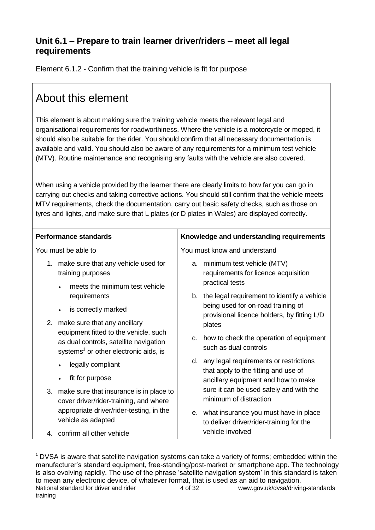### **Unit 6.1 – Prepare to train learner driver/riders – meet all legal requirements**

Element 6.1.2 - Confirm that the training vehicle is fit for purpose

# About this element

This element is about making sure the training vehicle meets the relevant legal and organisational requirements for roadworthiness. Where the vehicle is a motorcycle or moped, it should also be suitable for the rider. You should confirm that all necessary documentation is available and valid. You should also be aware of any requirements for a minimum test vehicle (MTV). Routine maintenance and recognising any faults with the vehicle are also covered.

When using a vehicle provided by the learner there are clearly limits to how far you can go in carrying out checks and taking corrective actions. You should still confirm that the vehicle meets MTV requirements, check the documentation, carry out basic safety checks, such as those on tyres and lights, and make sure that L plates (or D plates in Wales) are displayed correctly.

#### **Performance standards**

You must be able to

- 1. make sure that any vehicle used for training purposes
	- meets the minimum test vehicle requirements
	- is correctly marked
- 2. make sure that any ancillary equipment fitted to the vehicle, such as dual controls, satellite navigation systems<sup>1</sup> or other electronic aids, is
	- legally compliant
	- fit for purpose
- 3. make sure that insurance is in place to cover driver/rider-training, and where appropriate driver/rider-testing, in the vehicle as adapted
- 4. confirm all other vehicle

1

#### **Knowledge and understanding requirements**

You must know and understand

- a. minimum test vehicle (MTV) requirements for licence acquisition practical tests
- b. the legal requirement to identify a vehicle being used for on-road training of provisional licence holders, by fitting L/D plates
- c. how to check the operation of equipment such as dual controls
- d. any legal requirements or restrictions that apply to the fitting and use of ancillary equipment and how to make sure it can be used safely and with the minimum of distraction
- e. what insurance you must have in place to deliver driver/rider-training for the vehicle involved

National standard for driver and rider training 4 of 32 www.gov.uk/dvsa/driving-standards  $1$  DVSA is aware that satellite navigation systems can take a variety of forms; embedded within the manufacturer's standard equipment, free-standing/post-market or smartphone app. The technology is also evolving rapidly. The use of the phrase 'satellite navigation system' in this standard is taken to mean any electronic device, of whatever format, that is used as an aid to navigation.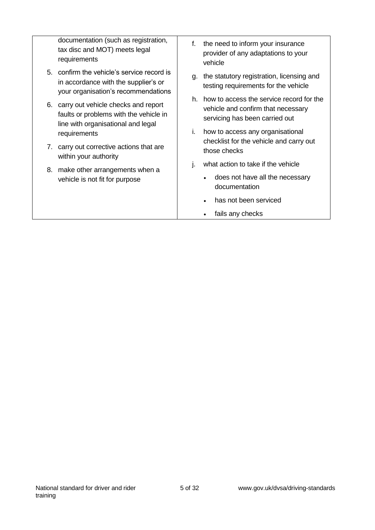|                                      | documentation (such as registration,<br>tax disc and MOT) meets legal<br>requirements                                     | the need to inform your insurance<br>f.<br>provider of any adaptations to your<br>vehicle                           |
|--------------------------------------|---------------------------------------------------------------------------------------------------------------------------|---------------------------------------------------------------------------------------------------------------------|
|                                      | 5. confirm the vehicle's service record is<br>in accordance with the supplier's or<br>your organisation's recommendations | the statutory registration, licensing and<br>q.<br>testing requirements for the vehicle                             |
|                                      | 6. carry out vehicle checks and report<br>faults or problems with the vehicle in<br>line with organisational and legal    | h. how to access the service record for the<br>vehicle and confirm that necessary<br>servicing has been carried out |
|                                      | requirements                                                                                                              | i.<br>how to access any organisational<br>checklist for the vehicle and carry out                                   |
|                                      | carry out corrective actions that are<br>7.<br>within your authority                                                      | those checks                                                                                                        |
| make other arrangements when a<br>8. | what action to take if the vehicle<br>j.                                                                                  |                                                                                                                     |
|                                      | vehicle is not fit for purpose                                                                                            | does not have all the necessary<br>$\bullet$<br>documentation                                                       |
|                                      |                                                                                                                           | has not been serviced                                                                                               |
|                                      |                                                                                                                           | fails any checks                                                                                                    |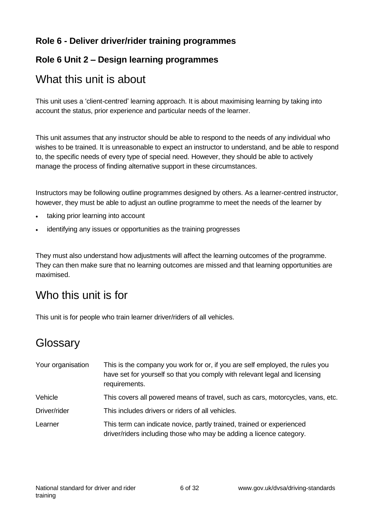### **Role 6 Unit 2 – Design learning programmes**

# What this unit is about

This unit uses a 'client-centred' learning approach. It is about maximising learning by taking into account the status, prior experience and particular needs of the learner.

This unit assumes that any instructor should be able to respond to the needs of any individual who wishes to be trained. It is unreasonable to expect an instructor to understand, and be able to respond to, the specific needs of every type of special need. However, they should be able to actively manage the process of finding alternative support in these circumstances.

Instructors may be following outline programmes designed by others. As a learner-centred instructor, however, they must be able to adjust an outline programme to meet the needs of the learner by

- taking prior learning into account
- identifying any issues or opportunities as the training progresses

They must also understand how adjustments will affect the learning outcomes of the programme. They can then make sure that no learning outcomes are missed and that learning opportunities are maximised.

# Who this unit is for

This unit is for people who train learner driver/riders of all vehicles.

| Your organisation | This is the company you work for or, if you are self employed, the rules you<br>have set for yourself so that you comply with relevant legal and licensing<br>requirements. |
|-------------------|-----------------------------------------------------------------------------------------------------------------------------------------------------------------------------|
| Vehicle           | This covers all powered means of travel, such as cars, motorcycles, vans, etc.                                                                                              |
| Driver/rider      | This includes drivers or riders of all vehicles.                                                                                                                            |
| Learner           | This term can indicate novice, partly trained, trained or experienced<br>driver/riders including those who may be adding a licence category.                                |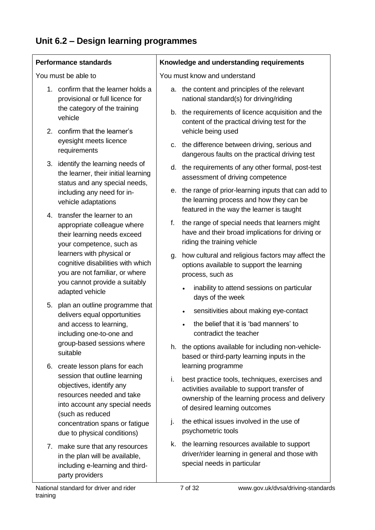## **Unit 6.2 – Design learning programmes**

| <b>Performance standards</b> |                                                                                                                                                                                                       | Knowledge and understanding requirements |                                                                                                                                                                                 |  |
|------------------------------|-------------------------------------------------------------------------------------------------------------------------------------------------------------------------------------------------------|------------------------------------------|---------------------------------------------------------------------------------------------------------------------------------------------------------------------------------|--|
| You must be able to          |                                                                                                                                                                                                       |                                          | You must know and understand                                                                                                                                                    |  |
|                              | 1. confirm that the learner holds a<br>provisional or full licence for                                                                                                                                |                                          | a. the content and principles of the relevant<br>national standard(s) for driving/riding                                                                                        |  |
|                              | the category of the training<br>vehicle<br>2. confirm that the learner's                                                                                                                              |                                          | b. the requirements of licence acquisition and the<br>content of the practical driving test for the<br>vehicle being used                                                       |  |
|                              | eyesight meets licence<br>requirements                                                                                                                                                                |                                          | c. the difference between driving, serious and<br>dangerous faults on the practical driving test                                                                                |  |
|                              | 3. identify the learning needs of<br>the learner, their initial learning<br>status and any special needs,<br>including any need for in-<br>vehicle adaptations                                        |                                          | d. the requirements of any other formal, post-test<br>assessment of driving competence                                                                                          |  |
|                              |                                                                                                                                                                                                       |                                          | e. the range of prior-learning inputs that can add to<br>the learning process and how they can be<br>featured in the way the learner is taught                                  |  |
|                              | 4. transfer the learner to an<br>appropriate colleague where<br>their learning needs exceed<br>your competence, such as                                                                               |                                          | f. the range of special needs that learners might<br>have and their broad implications for driving or<br>riding the training vehicle                                            |  |
|                              | learners with physical or<br>cognitive disabilities with which<br>you are not familiar, or where<br>you cannot provide a suitably<br>adapted vehicle                                                  | g.                                       | how cultural and religious factors may affect the<br>options available to support the learning<br>process, such as                                                              |  |
|                              |                                                                                                                                                                                                       |                                          | inability to attend sessions on particular<br>$\bullet$<br>days of the week                                                                                                     |  |
|                              | 5. plan an outline programme that<br>delivers equal opportunities<br>and access to learning,<br>including one-to-one and<br>group-based sessions where<br>suitable<br>6. create lesson plans for each |                                          | sensitivities about making eye-contact<br>$\bullet$                                                                                                                             |  |
|                              |                                                                                                                                                                                                       |                                          | the belief that it is 'bad manners' to<br>contradict the teacher                                                                                                                |  |
|                              |                                                                                                                                                                                                       |                                          | h. the options available for including non-vehicle-<br>based or third-party learning inputs in the<br>learning programme                                                        |  |
|                              | session that outline learning<br>objectives, identify any<br>resources needed and take<br>into account any special needs<br>(such as reduced                                                          | i.                                       | best practice tools, techniques, exercises and<br>activities available to support transfer of<br>ownership of the learning process and delivery<br>of desired learning outcomes |  |
|                              | concentration spans or fatigue<br>due to physical conditions)                                                                                                                                         | j.                                       | the ethical issues involved in the use of<br>psychometric tools                                                                                                                 |  |
|                              | 7. make sure that any resources<br>in the plan will be available,<br>including e-learning and third-<br>party providers                                                                               |                                          | k. the learning resources available to support<br>driver/rider learning in general and those with<br>special needs in particular                                                |  |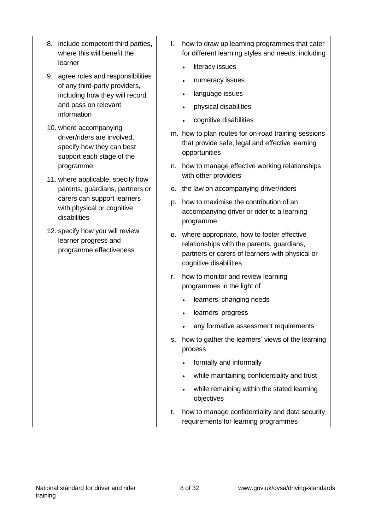|  | 8. include competent third parties,<br>where this will benefit the                                              | I. | how to draw up learning programmes that cater<br>for different learning styles and needs, including                                                                   |
|--|-----------------------------------------------------------------------------------------------------------------|----|-----------------------------------------------------------------------------------------------------------------------------------------------------------------------|
|  | learner                                                                                                         |    | literacy issues                                                                                                                                                       |
|  | 9. agree roles and responsibilities<br>of any third-party providers,                                            |    | numeracy issues<br>$\bullet$                                                                                                                                          |
|  | including how they will record                                                                                  |    | language issues<br>$\bullet$                                                                                                                                          |
|  | and pass on relevant                                                                                            |    | physical disabilities<br>$\bullet$                                                                                                                                    |
|  | information                                                                                                     |    | cognitive disabilities                                                                                                                                                |
|  | 10. where accompanying<br>driver/riders are involved,<br>specify how they can best<br>support each stage of the |    | m. how to plan routes for on-road training sessions<br>that provide safe, legal and effective learning<br>opportunities                                               |
|  | programme<br>11. where applicable, specify how                                                                  | n. | how to manage effective working relationships<br>with other providers                                                                                                 |
|  | parents, guardians, partners or                                                                                 |    | o. the law on accompanying driver/riders                                                                                                                              |
|  | carers can support learners<br>with physical or cognitive<br>disabilities                                       | p. | how to maximise the contribution of an<br>accompanying driver or rider to a learning<br>programme                                                                     |
|  | 12. specify how you will review<br>learner progress and<br>programme effectiveness                              | q. | where appropriate, how to foster effective<br>relationships with the parents, guardians,<br>partners or carers of learners with physical or<br>cognitive disabilities |
|  |                                                                                                                 | r. | how to monitor and review learning<br>programmes in the light of                                                                                                      |
|  |                                                                                                                 |    | learners' changing needs<br>$\bullet$                                                                                                                                 |
|  |                                                                                                                 |    | learners' progress                                                                                                                                                    |
|  |                                                                                                                 |    | any formative assessment requirements                                                                                                                                 |
|  |                                                                                                                 | s. | how to gather the learners' views of the learning<br>process                                                                                                          |
|  |                                                                                                                 |    | formally and informally                                                                                                                                               |
|  |                                                                                                                 |    | while maintaining confidentiality and trust<br>٠                                                                                                                      |
|  |                                                                                                                 |    | while remaining within the stated learning<br>objectives                                                                                                              |
|  |                                                                                                                 | t. | how to manage confidentiality and data security<br>requirements for learning programmes                                                                               |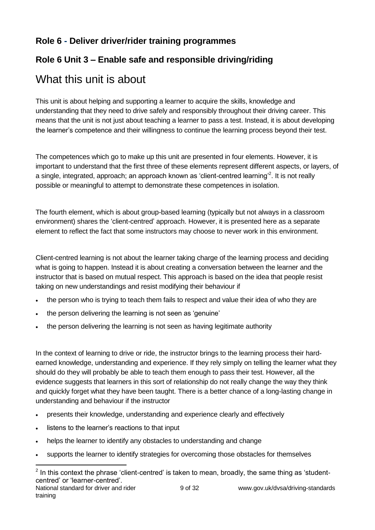### **Role 6 Unit 3 – Enable safe and responsible driving/riding**

# What this unit is about

This unit is about helping and supporting a learner to acquire the skills, knowledge and understanding that they need to drive safely and responsibly throughout their driving career. This means that the unit is not just about teaching a learner to pass a test. Instead, it is about developing the learner's competence and their willingness to continue the learning process beyond their test.

The competences which go to make up this unit are presented in four elements. However, it is important to understand that the first three of these elements represent different aspects, or layers, of a single, integrated, approach; an approach known as 'client-centred learning'<sup>2</sup>. It is not really possible or meaningful to attempt to demonstrate these competences in isolation.

The fourth element, which is about group-based learning (typically but not always in a classroom environment) shares the 'client-centred' approach. However, it is presented here as a separate element to reflect the fact that some instructors may choose to never work in this environment.

Client-centred learning is not about the learner taking charge of the learning process and deciding what is going to happen. Instead it is about creating a conversation between the learner and the instructor that is based on mutual respect. This approach is based on the idea that people resist taking on new understandings and resist modifying their behaviour if

- the person who is trying to teach them fails to respect and value their idea of who they are
- the person delivering the learning is not seen as 'genuine'
- the person delivering the learning is not seen as having legitimate authority

In the context of learning to drive or ride, the instructor brings to the learning process their hardearned knowledge, understanding and experience. If they rely simply on telling the learner what they should do they will probably be able to teach them enough to pass their test. However, all the evidence suggests that learners in this sort of relationship do not really change the way they think and quickly forget what they have been taught. There is a better chance of a long-lasting change in understanding and behaviour if the instructor

- presents their knowledge, understanding and experience clearly and effectively
- listens to the learner's reactions to that input
- helps the learner to identify any obstacles to understanding and change
- supports the learner to identify strategies for overcoming those obstacles for themselves

<u>.</u>

 $2$  In this context the phrase 'client-centred' is taken to mean, broadly, the same thing as 'studentcentred' or 'learner-centred'.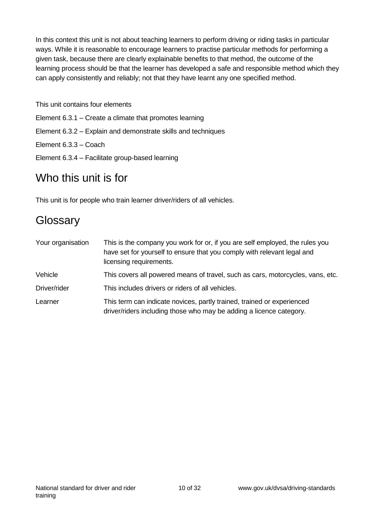In this context this unit is not about teaching learners to perform driving or riding tasks in particular ways. While it is reasonable to encourage learners to practise particular methods for performing a given task, because there are clearly explainable benefits to that method, the outcome of the learning process should be that the learner has developed a safe and responsible method which they can apply consistently and reliably; not that they have learnt any one specified method.

This unit contains four elements

Element 6.3.1 – Create a climate that promotes learning

Element 6.3.2 – Explain and demonstrate skills and techniques

Element 6.3.3 – Coach

Element 6.3.4 – Facilitate group-based learning

### Who this unit is for

This unit is for people who train learner driver/riders of all vehicles.

| Your organisation | This is the company you work for or, if you are self employed, the rules you<br>have set for yourself to ensure that you comply with relevant legal and<br>licensing requirements. |
|-------------------|------------------------------------------------------------------------------------------------------------------------------------------------------------------------------------|
| Vehicle           | This covers all powered means of travel, such as cars, motorcycles, vans, etc.                                                                                                     |
| Driver/rider      | This includes drivers or riders of all vehicles.                                                                                                                                   |
| Learner           | This term can indicate novices, partly trained, trained or experienced<br>driver/riders including those who may be adding a licence category.                                      |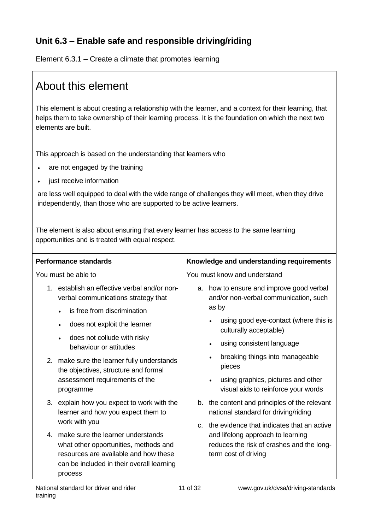### **Unit 6.3 – Enable safe and responsible driving/riding**

Element 6.3.1 – Create a climate that promotes learning

# About this element

This element is about creating a relationship with the learner, and a context for their learning, that helps them to take ownership of their learning process. It is the foundation on which the next two elements are built.

This approach is based on the understanding that learners who

- are not engaged by the training
- just receive information

are less well equipped to deal with the wide range of challenges they will meet, when they drive independently, than those who are supported to be active learners.

The element is also about ensuring that every learner has access to the same learning opportunities and is treated with equal respect.

| Knowledge and understanding requirements                                                               |
|--------------------------------------------------------------------------------------------------------|
| You must know and understand                                                                           |
| a. how to ensure and improve good verbal<br>and/or non-verbal communication, such                      |
| as by                                                                                                  |
| using good eye-contact (where this is<br>culturally acceptable)                                        |
| using consistent language<br>$\bullet$                                                                 |
| breaking things into manageable<br>pieces                                                              |
| using graphics, pictures and other<br>$\bullet$<br>visual aids to reinforce your words                 |
| b. the content and principles of the relevant<br>national standard for driving/riding                  |
| c. the evidence that indicates that an active                                                          |
| and lifelong approach to learning<br>reduces the risk of crashes and the long-<br>term cost of driving |
|                                                                                                        |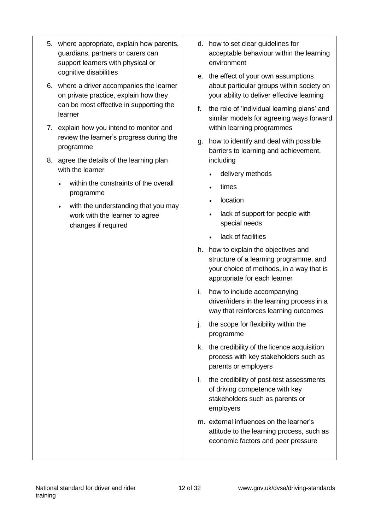|  | 5. where appropriate, explain how parents,<br>guardians, partners or carers can<br>support learners with physical or |                                                                                                              |    | d. how to set clear guidelines for<br>acceptable behaviour within the learning<br>environment                                                              |
|--|----------------------------------------------------------------------------------------------------------------------|--------------------------------------------------------------------------------------------------------------|----|------------------------------------------------------------------------------------------------------------------------------------------------------------|
|  |                                                                                                                      | cognitive disabilities<br>6. where a driver accompanies the learner<br>on private practice, explain how they |    | e. the effect of your own assumptions<br>about particular groups within society on<br>your ability to deliver effective learning                           |
|  |                                                                                                                      | can be most effective in supporting the<br>learner<br>7. explain how you intend to monitor and               | f. | the role of 'individual learning plans' and<br>similar models for agreeing ways forward<br>within learning programmes                                      |
|  |                                                                                                                      | review the learner's progress during the<br>programme<br>8. agree the details of the learning plan           |    | g. how to identify and deal with possible<br>barriers to learning and achievement,<br>including                                                            |
|  |                                                                                                                      | with the learner                                                                                             |    | delivery methods                                                                                                                                           |
|  |                                                                                                                      | within the constraints of the overall<br>programme                                                           |    | times                                                                                                                                                      |
|  |                                                                                                                      | with the understanding that you may                                                                          |    | location                                                                                                                                                   |
|  |                                                                                                                      | work with the learner to agree<br>changes if required                                                        |    | lack of support for people with<br>special needs                                                                                                           |
|  |                                                                                                                      |                                                                                                              |    | lack of facilities                                                                                                                                         |
|  |                                                                                                                      |                                                                                                              |    | h. how to explain the objectives and<br>structure of a learning programme, and<br>your choice of methods, in a way that is<br>appropriate for each learner |
|  |                                                                                                                      |                                                                                                              | i. | how to include accompanying<br>driver/riders in the learning process in a<br>way that reinforces learning outcomes                                         |
|  |                                                                                                                      |                                                                                                              | j. | the scope for flexibility within the<br>programme                                                                                                          |
|  |                                                                                                                      |                                                                                                              |    | k. the credibility of the licence acquisition<br>process with key stakeholders such as<br>parents or employers                                             |
|  |                                                                                                                      |                                                                                                              |    | the credibility of post-test assessments<br>of driving competence with key<br>stakeholders such as parents or<br>employers                                 |
|  |                                                                                                                      |                                                                                                              |    | m. external influences on the learner's<br>attitude to the learning process, such as<br>economic factors and peer pressure                                 |
|  |                                                                                                                      |                                                                                                              |    |                                                                                                                                                            |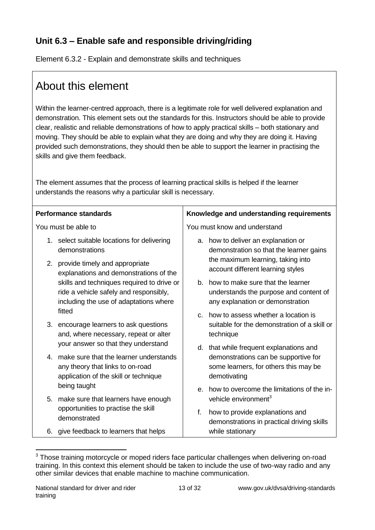### **Unit 6.3 – Enable safe and responsible driving/riding**

Element 6.3.2 - Explain and demonstrate skills and techniques

# About this element

Within the learner-centred approach, there is a legitimate role for well delivered explanation and demonstration. This element sets out the standards for this. Instructors should be able to provide clear, realistic and reliable demonstrations of how to apply practical skills – both stationary and moving. They should be able to explain what they are doing and why they are doing it. Having provided such demonstrations, they should then be able to support the learner in practising the skills and give them feedback.

The element assumes that the process of learning practical skills is helped if the learner understands the reasons why a particular skill is necessary.

| <b>Performance standards</b> |                                                                                                                                                            | Knowledge and understanding requirements |                                                                                                                                          |
|------------------------------|------------------------------------------------------------------------------------------------------------------------------------------------------------|------------------------------------------|------------------------------------------------------------------------------------------------------------------------------------------|
| You must be able to          |                                                                                                                                                            |                                          | You must know and understand                                                                                                             |
|                              | 1. select suitable locations for delivering<br>demonstrations                                                                                              |                                          | a. how to deliver an explanation or<br>demonstration so that the learner gains                                                           |
| 2.                           | provide timely and appropriate<br>explanations and demonstrations of the                                                                                   |                                          | the maximum learning, taking into<br>account different learning styles                                                                   |
|                              | skills and techniques required to drive or<br>ride a vehicle safely and responsibly,<br>including the use of adaptations where                             |                                          | b. how to make sure that the learner<br>understands the purpose and content of<br>any explanation or demonstration                       |
|                              | fitted<br>3. encourage learners to ask questions<br>and, where necessary, repeat or alter                                                                  |                                          | c. how to assess whether a location is<br>suitable for the demonstration of a skill or<br>technique                                      |
| $\mathbf{A}$                 | your answer so that they understand<br>make sure that the learner understands<br>any theory that links to on-road<br>application of the skill or technique |                                          | d. that while frequent explanations and<br>demonstrations can be supportive for<br>some learners, for others this may be<br>demotivating |
| 5.                           | being taught<br>make sure that learners have enough                                                                                                        |                                          | e. how to overcome the limitations of the in-<br>vehicle environment <sup>3</sup>                                                        |
|                              | opportunities to practise the skill<br>demonstrated                                                                                                        | f.                                       | how to provide explanations and<br>demonstrations in practical driving skills                                                            |
|                              | 6. give feedback to learners that helps                                                                                                                    |                                          | while stationary                                                                                                                         |

<sup>1</sup>  $3$  Those training motorcycle or moped riders face particular challenges when delivering on-road training. In this context this element should be taken to include the use of two-way radio and any other similar devices that enable machine to machine communication.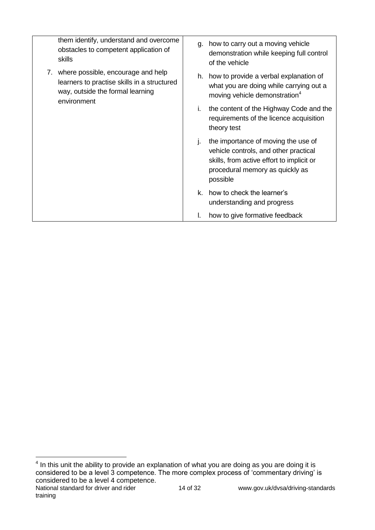|  | them identify, understand and overcome<br>obstacles to competent application of<br>skills                                               | a. | how to carry out a moving vehicle<br>demonstration while keeping full control<br>of the vehicle                                                                          |
|--|-----------------------------------------------------------------------------------------------------------------------------------------|----|--------------------------------------------------------------------------------------------------------------------------------------------------------------------------|
|  | 7. where possible, encourage and help<br>learners to practise skills in a structured<br>way, outside the formal learning<br>environment |    | h. how to provide a verbal explanation of<br>what you are doing while carrying out a<br>moving vehicle demonstration <sup>4</sup>                                        |
|  |                                                                                                                                         | İ. | the content of the Highway Code and the<br>requirements of the licence acquisition<br>theory test                                                                        |
|  |                                                                                                                                         | j. | the importance of moving the use of<br>vehicle controls, and other practical<br>skills, from active effort to implicit or<br>procedural memory as quickly as<br>possible |
|  |                                                                                                                                         |    | k. how to check the learner's<br>understanding and progress                                                                                                              |
|  |                                                                                                                                         | I. | how to give formative feedback                                                                                                                                           |

14 of 32 www.gov.uk/dvsa/driving-standards ————————————————————<br><sup>4</sup> In this unit the ability to provide an explanation of what you are doing as you are doing it is considered to be a level 3 competence. The more complex process of 'commentary driving' is considered to be a level 4 competence.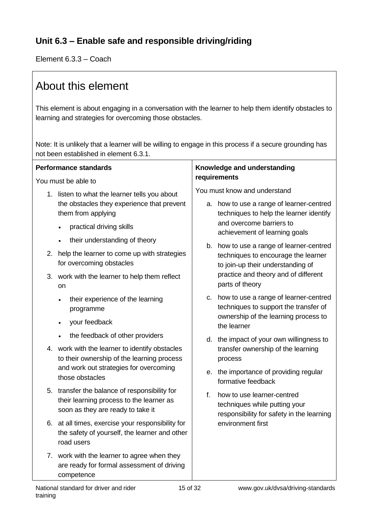### **Unit 6.3 – Enable safe and responsible driving/riding**

Element 6.3.3 – Coach

# About this element

This element is about engaging in a conversation with the learner to help them identify obstacles to learning and strategies for overcoming those obstacles.

Note: It is unlikely that a learner will be willing to engage in this process if a secure grounding has not been established in element 6.3.1.

| <b>Performance standards</b>                                                                                                                                                                 | Knowledge and understanding<br>requirements                                                                                                                                      |  |
|----------------------------------------------------------------------------------------------------------------------------------------------------------------------------------------------|----------------------------------------------------------------------------------------------------------------------------------------------------------------------------------|--|
| You must be able to                                                                                                                                                                          |                                                                                                                                                                                  |  |
| 1. listen to what the learner tells you about<br>the obstacles they experience that prevent<br>them from applying<br>practical driving skills<br>their understanding of theory<br>$\bullet$  | You must know and understand<br>a. how to use a range of learner-centred<br>techniques to help the learner identify<br>and overcome barriers to<br>achievement of learning goals |  |
| help the learner to come up with strategies<br>2.<br>for overcoming obstacles<br>3. work with the learner to help them reflect<br>on                                                         | b. how to use a range of learner-centred<br>techniques to encourage the learner<br>to join-up their understanding of<br>practice and theory and of different<br>parts of theory  |  |
| their experience of the learning<br>programme<br>your feedback<br>$\bullet$                                                                                                                  | c. how to use a range of learner-centred<br>techniques to support the transfer of<br>ownership of the learning process to<br>the learner                                         |  |
| the feedback of other providers<br>4. work with the learner to identify obstacles<br>to their ownership of the learning process<br>and work out strategies for overcoming<br>those obstacles | d. the impact of your own willingness to<br>transfer ownership of the learning<br>process<br>e. the importance of providing regular<br>formative feedback                        |  |
| 5. transfer the balance of responsibility for<br>their learning process to the learner as<br>soon as they are ready to take it                                                               | how to use learner-centred<br>f.<br>techniques while putting your<br>responsibility for safety in the learning                                                                   |  |
| 6. at all times, exercise your responsibility for<br>the safety of yourself, the learner and other<br>road users                                                                             | environment first                                                                                                                                                                |  |
| 7. work with the learner to agree when they<br>are ready for formal assessment of driving<br>competence                                                                                      |                                                                                                                                                                                  |  |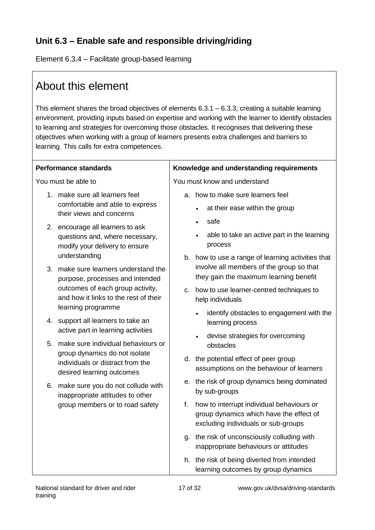### **Unit 6.3 – Enable safe and responsible driving/riding**

Element 6.3.4 – Facilitate group-based learning

# About this element

This element shares the broad objectives of elements  $6.3.1 - 6.3.3$ ; creating a suitable learning environment, providing inputs based on expertise and working with the learner to identify obstacles to learning and strategies for overcoming those obstacles. It recognises that delivering these objectives when working with a group of learners presents extra challenges and barriers to learning. This calls for extra competences.

#### **Performance standards**

You must be able to

- 1. make sure all learners feel comfortable and able to express their views and concerns
- 2. encourage all learners to ask questions and, where necessary, modify your delivery to ensure understanding
- 3. make sure learners understand the purpose, processes and intended outcomes of each group activity, and how it links to the rest of their learning programme
- 4. support all learners to take an active part in learning activities
- 5. make sure individual behaviours or group dynamics do not isolate individuals or distract from the desired learning outcomes
- 6. make sure you do not collude with inappropriate attitudes to other group members or to road safety

#### **Knowledge and understanding requirements**

You must know and understand

- a. how to make sure learners feel
	- at their ease within the group
	- safe
	- able to take an active part in the learning process
- b. how to use a range of learning activities that involve all members of the group so that they gain the maximum learning benefit
- c. how to use learner-centred techniques to help individuals
	- identify obstacles to engagement with the learning process
	- devise strategies for overcoming obstacles
- d. the potential effect of peer group assumptions on the behaviour of learners
- e. the risk of group dynamics being dominated by sub-groups
- f. how to interrupt individual behaviours or group dynamics which have the effect of excluding individuals or sub-groups
- g. the risk of unconsciously colluding with inappropriate behaviours or attitudes
- h. the risk of being diverted from intended learning outcomes by group dynamics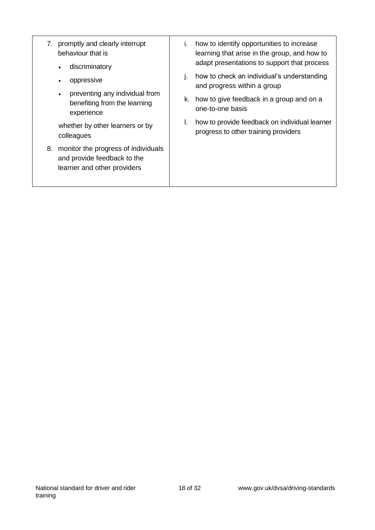| behaviour that is | promptly and clearly interrupt<br>discriminatory                                                  | $\mathbf{L}$ | how to identify opportunities to increase<br>learning that arise in the group, and how to<br>adapt presentations to support that process     |
|-------------------|---------------------------------------------------------------------------------------------------|--------------|----------------------------------------------------------------------------------------------------------------------------------------------|
| ٠<br>$\bullet$    | oppressive<br>preventing any individual from<br>benefiting from the learning<br>experience        |              | how to check an individual's understanding<br>and progress within a group<br>k. how to give feedback in a group and on a<br>one-to-one basis |
| colleagues        | whether by other learners or by                                                                   | L.           | how to provide feedback on individual learner<br>progress to other training providers                                                        |
| 8.                | monitor the progress of individuals<br>and provide feedback to the<br>learner and other providers |              |                                                                                                                                              |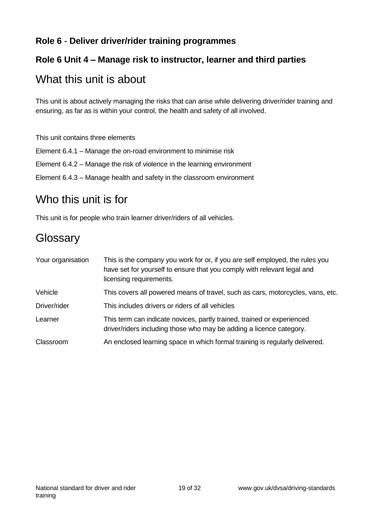### **Role 6 Unit 4 – Manage risk to instructor, learner and third parties**

# What this unit is about

This unit is about actively managing the risks that can arise while delivering driver/rider training and ensuring, as far as is within your control, the health and safety of all involved.

This unit contains three elements

Element 6.4.1 – Manage the on-road environment to minimise risk

Element 6.4.2 – Manage the risk of violence in the learning environment

Element 6.4.3 – Manage health and safety in the classroom environment

# Who this unit is for

This unit is for people who train learner driver/riders of all vehicles.

| Your organisation | This is the company you work for or, if you are self employed, the rules you<br>have set for yourself to ensure that you comply with relevant legal and<br>licensing requirements. |
|-------------------|------------------------------------------------------------------------------------------------------------------------------------------------------------------------------------|
| Vehicle           | This covers all powered means of travel, such as cars, motorcycles, vans, etc.                                                                                                     |
| Driver/rider      | This includes drivers or riders of all vehicles                                                                                                                                    |
| Learner           | This term can indicate novices, partly trained, trained or experienced<br>driver/riders including those who may be adding a licence category.                                      |
| Classroom         | An enclosed learning space in which formal training is regularly delivered.                                                                                                        |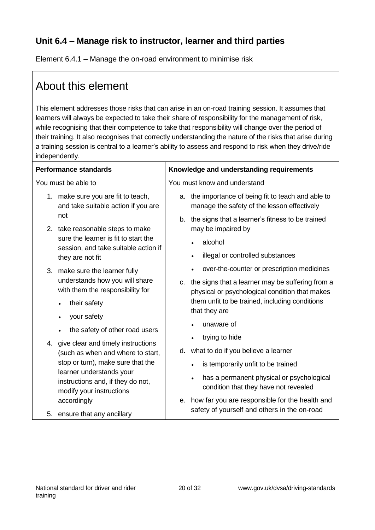### **Unit 6.4 – Manage risk to instructor, learner and third parties**

Element 6.4.1 – Manage the on-road environment to minimise risk

# About this element

This element addresses those risks that can arise in an on-road training session. It assumes that learners will always be expected to take their share of responsibility for the management of risk, while recognising that their competence to take that responsibility will change over the period of their training. It also recognises that correctly understanding the nature of the risks that arise during a training session is central to a learner's ability to assess and respond to risk when they drive/ride independently.

| <b>Performance standards</b> |                                                                                                                                                                                                                                                               | Knowledge and understanding requirements |                                                                                                                                                     |  |
|------------------------------|---------------------------------------------------------------------------------------------------------------------------------------------------------------------------------------------------------------------------------------------------------------|------------------------------------------|-----------------------------------------------------------------------------------------------------------------------------------------------------|--|
| You must be able to          |                                                                                                                                                                                                                                                               | You must know and understand             |                                                                                                                                                     |  |
|                              | 1. make sure you are fit to teach,<br>and take suitable action if you are<br>not                                                                                                                                                                              | a.<br>b.                                 | the importance of being fit to teach and able to<br>manage the safety of the lesson effectively<br>the signs that a learner's fitness to be trained |  |
|                              | 2. take reasonable steps to make<br>sure the learner is fit to start the<br>session, and take suitable action if<br>they are not fit                                                                                                                          |                                          | may be impaired by                                                                                                                                  |  |
|                              |                                                                                                                                                                                                                                                               |                                          | alcohol                                                                                                                                             |  |
|                              |                                                                                                                                                                                                                                                               |                                          | illegal or controlled substances                                                                                                                    |  |
|                              | 3. make sure the learner fully<br>understands how you will share<br>with them the responsibility for<br>their safety                                                                                                                                          |                                          | over-the-counter or prescription medicines                                                                                                          |  |
|                              |                                                                                                                                                                                                                                                               | $C_{1}$                                  | the signs that a learner may be suffering from a<br>physical or psychological condition that makes                                                  |  |
|                              |                                                                                                                                                                                                                                                               |                                          | them unfit to be trained, including conditions<br>that they are                                                                                     |  |
| $\bullet$                    | your safety                                                                                                                                                                                                                                                   |                                          | unaware of                                                                                                                                          |  |
|                              | the safety of other road users<br>4. give clear and timely instructions<br>(such as when and where to start,<br>stop or turn), make sure that the<br>learner understands your<br>instructions and, if they do not,<br>modify your instructions<br>accordingly |                                          | trying to hide                                                                                                                                      |  |
|                              |                                                                                                                                                                                                                                                               | d.                                       | what to do if you believe a learner                                                                                                                 |  |
|                              |                                                                                                                                                                                                                                                               |                                          | is temporarily unfit to be trained                                                                                                                  |  |
|                              |                                                                                                                                                                                                                                                               |                                          | has a permanent physical or psychological<br>$\bullet$<br>condition that they have not revealed                                                     |  |
|                              |                                                                                                                                                                                                                                                               |                                          | e. how far you are responsible for the health and                                                                                                   |  |
| 5.                           | ensure that any ancillary                                                                                                                                                                                                                                     |                                          | safety of yourself and others in the on-road                                                                                                        |  |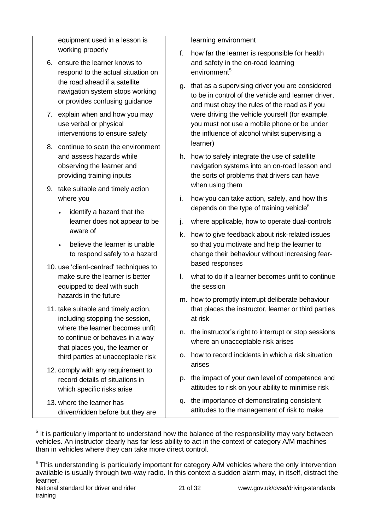| equipment used in a lesson is |  |
|-------------------------------|--|
| working properly              |  |

- 6. ensure the learner knows to respond to the actual situation on the road ahead if a satellite navigation system stops working or provides confusing guidance
- 7. explain when and how you may use verbal or physical interventions to ensure safety
- 8. continue to scan the environment and assess hazards while observing the learner and providing training inputs
- 9. take suitable and timely action where you
	- identify a hazard that the learner does not appear to be aware of
	- believe the learner is unable to respond safely to a hazard
- 10. use 'client-centred' techniques to make sure the learner is better equipped to deal with such hazards in the future
- 11. take suitable and timely action, including stopping the session, where the learner becomes unfit to continue or behaves in a way that places you, the learner or third parties at unacceptable risk
- 12. comply with any requirement to record details of situations in which specific risks arise
- 13. where the learner has driven/ridden before but they are

learning environment

- f. how far the learner is responsible for health and safety in the on-road learning environment<sup>5</sup>
- g. that as a supervising driver you are considered to be in control of the vehicle and learner driver, and must obey the rules of the road as if you were driving the vehicle yourself (for example, you must not use a mobile phone or be under the influence of alcohol whilst supervising a learner)
- h. how to safely integrate the use of satellite navigation systems into an on-road lesson and the sorts of problems that drivers can have when using them
- i. how you can take action, safely, and how this depends on the type of training vehicle $6$
- j. where applicable, how to operate dual-controls
- k. how to give feedback about risk-related issues so that you motivate and help the learner to change their behaviour without increasing fearbased responses
- l. what to do if a learner becomes unfit to continue the session
- m. how to promptly interrupt deliberate behaviour that places the instructor, learner or third parties at risk
- n. the instructor's right to interrupt or stop sessions where an unacceptable risk arises
- o. how to record incidents in which a risk situation arises
- p. the impact of your own level of competence and attitudes to risk on your ability to minimise risk
- q. the importance of demonstrating consistent attitudes to the management of risk to make

<sup>1</sup>  $<sup>5</sup>$  It is particularly important to understand how the balance of the responsibility may vary between</sup> vehicles. An instructor clearly has far less ability to act in the context of category A/M machines than in vehicles where they can take more direct control.

 $6$  This understanding is particularly important for category A/M vehicles where the only intervention available is usually through two-way radio. In this context a sudden alarm may, in itself, distract the learner.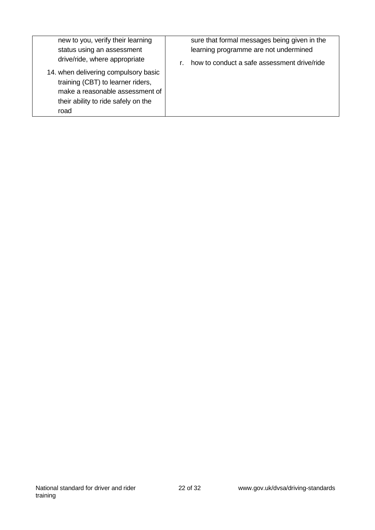| new to you, verify their learning    | sure that formal messages being given in the      |
|--------------------------------------|---------------------------------------------------|
| status using an assessment           | learning programme are not undermined             |
| drive/ride, where appropriate        | how to conduct a safe assessment drive/ride<br>r. |
| 14. when delivering compulsory basic |                                                   |
| training (CBT) to learner riders,    |                                                   |
| make a reasonable assessment of      |                                                   |
| their ability to ride safely on the  |                                                   |
| road                                 |                                                   |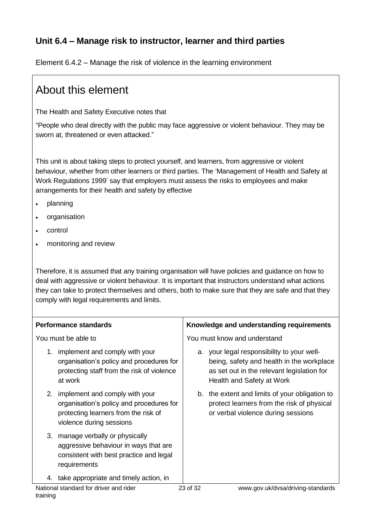### **Unit 6.4 – Manage risk to instructor, learner and third parties**

Element 6.4.2 – Manage the risk of violence in the learning environment

# About this element

The Health and Safety Executive notes that

"People who deal directly with the public may face aggressive or violent behaviour. They may be sworn at, threatened or even attacked."

This unit is about taking steps to protect yourself, and learners, from aggressive or violent behaviour, whether from other learners or third parties. The 'Management of Health and Safety at Work Regulations 1999' say that employers must assess the risks to employees and make arrangements for their health and safety by effective

- planning
- organisation
- control
- monitoring and review

Therefore, it is assumed that any training organisation will have policies and guidance on how to deal with aggressive or violent behaviour. It is important that instructors understand what actions they can take to protect themselves and others, both to make sure that they are safe and that they comply with legal requirements and limits.

| <b>Performance standards</b>                                                                                                                      | Knowledge and understanding requirements                                                                                                                           |
|---------------------------------------------------------------------------------------------------------------------------------------------------|--------------------------------------------------------------------------------------------------------------------------------------------------------------------|
| You must be able to                                                                                                                               | You must know and understand                                                                                                                                       |
| 1. implement and comply with your<br>organisation's policy and procedures for<br>protecting staff from the risk of violence<br>at work            | a. your legal responsibility to your well-<br>being, safety and health in the workplace<br>as set out in the relevant legislation for<br>Health and Safety at Work |
| 2. implement and comply with your<br>organisation's policy and procedures for<br>protecting learners from the risk of<br>violence during sessions | b. the extent and limits of your obligation to<br>protect learners from the risk of physical<br>or verbal violence during sessions                                 |
| manage verbally or physically<br>3.<br>aggressive behaviour in ways that are<br>consistent with best practice and legal<br>requirements           |                                                                                                                                                                    |
| 4. take appropriate and timely action, in                                                                                                         |                                                                                                                                                                    |
| National standard for driver and rider                                                                                                            | 23 of 32<br>www.gov.uk/dvsa/driving-standards                                                                                                                      |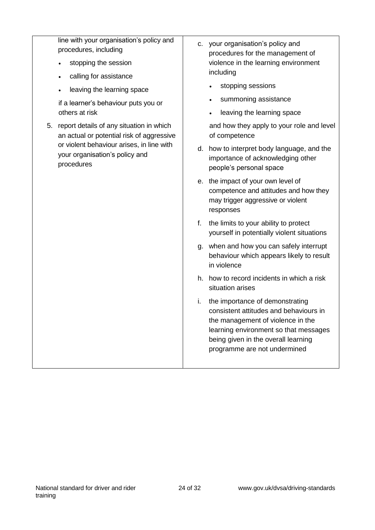| line with your organisation's policy and<br>procedures, including<br>stopping the session<br>calling for assistance<br>$\bullet$<br>leaving the learning space<br>$\bullet$<br>if a learner's behaviour puts you or<br>others at risk | c. your organisation's policy and<br>procedures for the management of<br>violence in the learning environment<br>including<br>stopping sessions<br>summoning assistance                                                              |
|---------------------------------------------------------------------------------------------------------------------------------------------------------------------------------------------------------------------------------------|--------------------------------------------------------------------------------------------------------------------------------------------------------------------------------------------------------------------------------------|
| 5. report details of any situation in which<br>an actual or potential risk of aggressive                                                                                                                                              | leaving the learning space<br>$\bullet$<br>and how they apply to your role and level<br>of competence                                                                                                                                |
| or violent behaviour arises, in line with<br>your organisation's policy and<br>procedures                                                                                                                                             | d. how to interpret body language, and the<br>importance of acknowledging other<br>people's personal space                                                                                                                           |
|                                                                                                                                                                                                                                       | e. the impact of your own level of<br>competence and attitudes and how they<br>may trigger aggressive or violent<br>responses                                                                                                        |
|                                                                                                                                                                                                                                       | the limits to your ability to protect<br>f.<br>yourself in potentially violent situations                                                                                                                                            |
|                                                                                                                                                                                                                                       | g. when and how you can safely interrupt<br>behaviour which appears likely to result<br>in violence                                                                                                                                  |
|                                                                                                                                                                                                                                       | h. how to record incidents in which a risk<br>situation arises                                                                                                                                                                       |
|                                                                                                                                                                                                                                       | the importance of demonstrating<br>i.<br>consistent attitudes and behaviours in<br>the management of violence in the<br>learning environment so that messages<br>being given in the overall learning<br>programme are not undermined |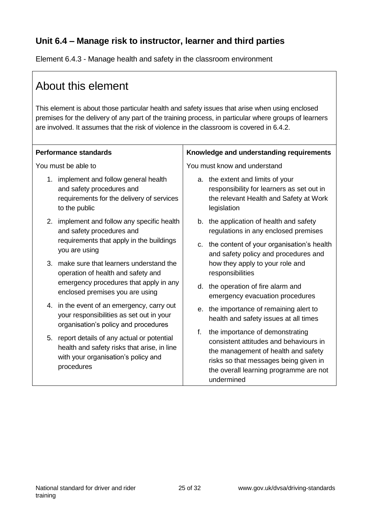### **Unit 6.4 – Manage risk to instructor, learner and third parties**

Element 6.4.3 - Manage health and safety in the classroom environment

# About this element

This element is about those particular health and safety issues that arise when using enclosed premises for the delivery of any part of the training process, in particular where groups of learners are involved. It assumes that the risk of violence in the classroom is covered in 6.4.2.

| <b>Performance standards</b> |                                                                                                                                               | Knowledge and understanding requirements |                                                                                                                                                                                                                   |
|------------------------------|-----------------------------------------------------------------------------------------------------------------------------------------------|------------------------------------------|-------------------------------------------------------------------------------------------------------------------------------------------------------------------------------------------------------------------|
| You must be able to          |                                                                                                                                               | You must know and understand             |                                                                                                                                                                                                                   |
|                              | 1. implement and follow general health<br>and safety procedures and<br>requirements for the delivery of services<br>to the public             |                                          | a. the extent and limits of your<br>responsibility for learners as set out in<br>the relevant Health and Safety at Work<br>legislation                                                                            |
|                              | 2. implement and follow any specific health<br>and safety procedures and                                                                      |                                          | b. the application of health and safety<br>regulations in any enclosed premises                                                                                                                                   |
|                              | requirements that apply in the buildings<br>you are using                                                                                     |                                          | c. the content of your organisation's health<br>and safety policy and procedures and                                                                                                                              |
|                              | 3. make sure that learners understand the<br>operation of health and safety and                                                               |                                          | how they apply to your role and<br>responsibilities                                                                                                                                                               |
|                              | emergency procedures that apply in any<br>enclosed premises you are using                                                                     |                                          | d. the operation of fire alarm and<br>emergency evacuation procedures                                                                                                                                             |
| 4.                           | in the event of an emergency, carry out<br>your responsibilities as set out in your<br>organisation's policy and procedures                   |                                          | e. the importance of remaining alert to<br>health and safety issues at all times                                                                                                                                  |
| 5.                           | report details of any actual or potential<br>health and safety risks that arise, in line<br>with your organisation's policy and<br>procedures | f.                                       | the importance of demonstrating<br>consistent attitudes and behaviours in<br>the management of health and safety<br>risks so that messages being given in<br>the overall learning programme are not<br>undermined |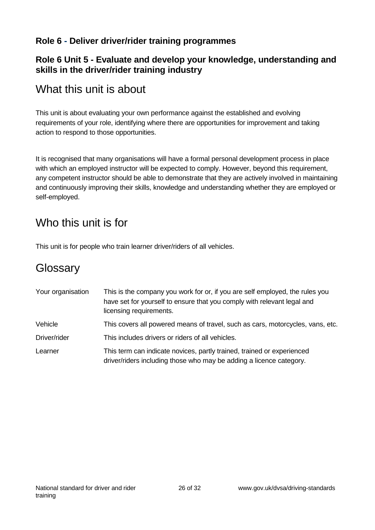### **Role 6 Unit 5 - Evaluate and develop your knowledge, understanding and skills in the driver/rider training industry**

### What this unit is about

This unit is about evaluating your own performance against the established and evolving requirements of your role, identifying where there are opportunities for improvement and taking action to respond to those opportunities.

It is recognised that many organisations will have a formal personal development process in place with which an employed instructor will be expected to comply. However, beyond this requirement, any competent instructor should be able to demonstrate that they are actively involved in maintaining and continuously improving their skills, knowledge and understanding whether they are employed or self-employed.

# Who this unit is for

This unit is for people who train learner driver/riders of all vehicles.

| Your organisation | This is the company you work for or, if you are self employed, the rules you<br>have set for yourself to ensure that you comply with relevant legal and<br>licensing requirements. |
|-------------------|------------------------------------------------------------------------------------------------------------------------------------------------------------------------------------|
| Vehicle           | This covers all powered means of travel, such as cars, motorcycles, vans, etc.                                                                                                     |
| Driver/rider      | This includes drivers or riders of all vehicles.                                                                                                                                   |
| Learner           | This term can indicate novices, partly trained, trained or experienced<br>driver/riders including those who may be adding a licence category.                                      |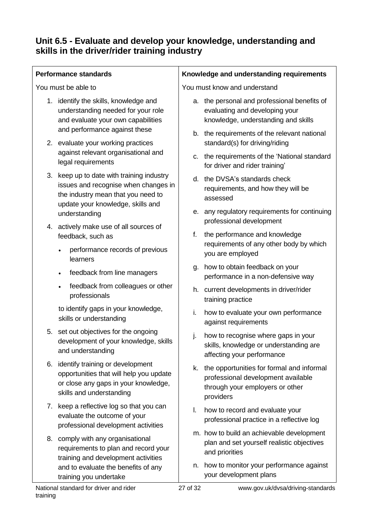### **Unit 6.5 - Evaluate and develop your knowledge, understanding and skills in the driver/rider training industry**

| <b>Performance standards</b> |                                                                                                                                                              | Knowledge and understanding requirements                                                                                              |  |  |
|------------------------------|--------------------------------------------------------------------------------------------------------------------------------------------------------------|---------------------------------------------------------------------------------------------------------------------------------------|--|--|
| You must be able to          |                                                                                                                                                              | You must know and understand                                                                                                          |  |  |
|                              | 1. identify the skills, knowledge and<br>understanding needed for your role<br>and evaluate your own capabilities                                            | a. the personal and professional benefits of<br>evaluating and developing your<br>knowledge, understanding and skills                 |  |  |
|                              | and performance against these<br>2. evaluate your working practices                                                                                          | b. the requirements of the relevant national<br>standard(s) for driving/riding                                                        |  |  |
|                              | against relevant organisational and<br>legal requirements                                                                                                    | c. the requirements of the 'National standard<br>for driver and rider training'                                                       |  |  |
|                              | 3. keep up to date with training industry<br>issues and recognise when changes in<br>the industry mean that you need to<br>update your knowledge, skills and | d. the DVSA's standards check<br>requirements, and how they will be<br>assessed                                                       |  |  |
|                              | understanding                                                                                                                                                | any regulatory requirements for continuing<br>е.<br>professional development                                                          |  |  |
|                              | 4. actively make use of all sources of<br>feedback, such as                                                                                                  | the performance and knowledge<br>f.<br>requirements of any other body by which                                                        |  |  |
|                              | performance records of previous<br>$\bullet$<br>learners                                                                                                     | you are employed                                                                                                                      |  |  |
|                              | feedback from line managers<br>$\bullet$                                                                                                                     | how to obtain feedback on your<br>g.<br>performance in a non-defensive way                                                            |  |  |
|                              | feedback from colleagues or other<br>$\bullet$<br>professionals                                                                                              | h. current developments in driver/rider<br>training practice                                                                          |  |  |
|                              | to identify gaps in your knowledge,<br>skills or understanding                                                                                               | how to evaluate your own performance<br>i.<br>against requirements                                                                    |  |  |
| 5.                           | set out objectives for the ongoing<br>development of your knowledge, skills<br>and understanding                                                             | how to recognise where gaps in your<br>j.<br>skills, knowledge or understanding are<br>affecting your performance                     |  |  |
|                              | 6. identify training or development<br>opportunities that will help you update<br>or close any gaps in your knowledge,<br>skills and understanding           | the opportunities for formal and informal<br>k.<br>professional development available<br>through your employers or other<br>providers |  |  |
| 7.                           | keep a reflective log so that you can<br>evaluate the outcome of your<br>professional development activities                                                 | how to record and evaluate your<br>I.<br>professional practice in a reflective log                                                    |  |  |
|                              | 8. comply with any organisational<br>requirements to plan and record your<br>training and development activities                                             | m. how to build an achievable development<br>plan and set yourself realistic objectives<br>and priorities                             |  |  |
|                              | and to evaluate the benefits of any<br>training you undertake                                                                                                | how to monitor your performance against<br>n.<br>your development plans                                                               |  |  |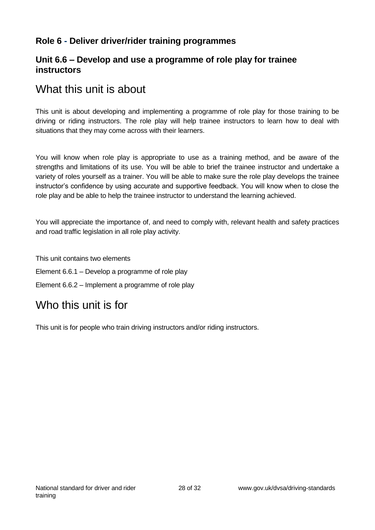### **Unit 6.6 – Develop and use a programme of role play for trainee instructors**

### What this unit is about

This unit is about developing and implementing a programme of role play for those training to be driving or riding instructors. The role play will help trainee instructors to learn how to deal with situations that they may come across with their learners.

You will know when role play is appropriate to use as a training method, and be aware of the strengths and limitations of its use. You will be able to brief the trainee instructor and undertake a variety of roles yourself as a trainer. You will be able to make sure the role play develops the trainee instructor's confidence by using accurate and supportive feedback. You will know when to close the role play and be able to help the trainee instructor to understand the learning achieved.

You will appreciate the importance of, and need to comply with, relevant health and safety practices and road traffic legislation in all role play activity.

This unit contains two elements Element 6.6.1 – Develop a programme of role play Element 6.6.2 – Implement a programme of role play

# Who this unit is for

This unit is for people who train driving instructors and/or riding instructors.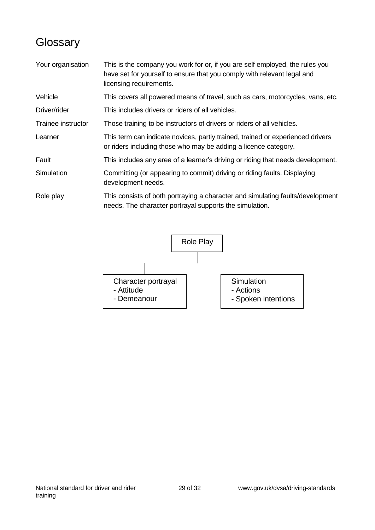| Your organisation  | This is the company you work for or, if you are self employed, the rules you<br>have set for yourself to ensure that you comply with relevant legal and<br>licensing requirements. |
|--------------------|------------------------------------------------------------------------------------------------------------------------------------------------------------------------------------|
| Vehicle            | This covers all powered means of travel, such as cars, motorcycles, vans, etc.                                                                                                     |
| Driver/rider       | This includes drivers or riders of all vehicles.                                                                                                                                   |
| Trainee instructor | Those training to be instructors of drivers or riders of all vehicles.                                                                                                             |
| Learner            | This term can indicate novices, partly trained, trained or experienced drivers<br>or riders including those who may be adding a licence category.                                  |
| Fault              | This includes any area of a learner's driving or riding that needs development.                                                                                                    |
| Simulation         | Committing (or appearing to commit) driving or riding faults. Displaying<br>development needs.                                                                                     |
| Role play          | This consists of both portraying a character and simulating faults/development<br>needs. The character portrayal supports the simulation.                                          |
|                    |                                                                                                                                                                                    |

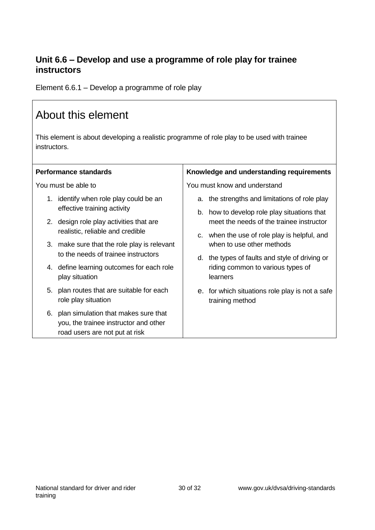### **Unit 6.6 – Develop and use a programme of role play for trainee instructors**

Element 6.6.1 – Develop a programme of role play

| About this element                                                                                          |                                                                          |                                          |                                                                           |  |  |  |  |
|-------------------------------------------------------------------------------------------------------------|--------------------------------------------------------------------------|------------------------------------------|---------------------------------------------------------------------------|--|--|--|--|
| This element is about developing a realistic programme of role play to be used with trainee<br>instructors. |                                                                          |                                          |                                                                           |  |  |  |  |
| <b>Performance standards</b>                                                                                |                                                                          | Knowledge and understanding requirements |                                                                           |  |  |  |  |
| You must be able to                                                                                         |                                                                          | You must know and understand             |                                                                           |  |  |  |  |
|                                                                                                             | 1. identify when role play could be an                                   |                                          | a. the strengths and limitations of role play                             |  |  |  |  |
|                                                                                                             | effective training activity                                              |                                          | b. how to develop role play situations that                               |  |  |  |  |
| 2.                                                                                                          | design role play activities that are<br>realistic, reliable and credible |                                          | meet the needs of the trainee instructor                                  |  |  |  |  |
|                                                                                                             | 3. make sure that the role play is relevant                              |                                          | c. when the use of role play is helpful, and<br>when to use other methods |  |  |  |  |
|                                                                                                             | to the needs of trainee instructors                                      |                                          | d. the types of faults and style of driving or                            |  |  |  |  |
| 4.                                                                                                          | define learning outcomes for each role<br>play situation                 |                                          | riding common to various types of<br>learners                             |  |  |  |  |
| 5.                                                                                                          | plan routes that are suitable for each<br>role play situation            |                                          | e. for which situations role play is not a safe<br>training method        |  |  |  |  |
| 6.                                                                                                          | plan simulation that makes sure that                                     |                                          |                                                                           |  |  |  |  |
|                                                                                                             | you, the trainee instructor and other<br>road users are not put at risk  |                                          |                                                                           |  |  |  |  |
|                                                                                                             |                                                                          |                                          |                                                                           |  |  |  |  |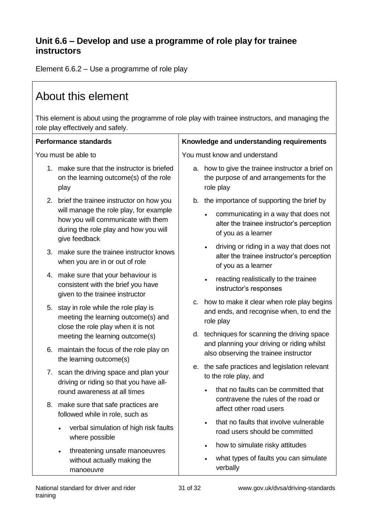### **Unit 6.6 – Develop and use a programme of role play for trainee instructors**

Element 6.6.2 – Use a programme of role play

# About this element

This element is about using the programme of role play with trainee instructors, and managing the role play effectively and safely.

| <b>Performance standards</b> |                                                                                                                                                                                   | Knowledge and understanding requirements |                                                                                                                           |
|------------------------------|-----------------------------------------------------------------------------------------------------------------------------------------------------------------------------------|------------------------------------------|---------------------------------------------------------------------------------------------------------------------------|
| You must be able to          |                                                                                                                                                                                   | You must know and understand             |                                                                                                                           |
|                              | 1. make sure that the instructor is briefed<br>on the learning outcome(s) of the role<br>play                                                                                     |                                          | a. how to give the trainee instructor a brief on<br>the purpose of and arrangements for the<br>role play                  |
| 2.                           | brief the trainee instructor on how you<br>will manage the role play, for example<br>how you will communicate with them<br>during the role play and how you will<br>give feedback | b.                                       | the importance of supporting the brief by                                                                                 |
|                              |                                                                                                                                                                                   |                                          | communicating in a way that does not<br>alter the trainee instructor's perception<br>of you as a learner                  |
| 3.                           | make sure the trainee instructor knows<br>when you are in or out of role                                                                                                          |                                          | driving or riding in a way that does not<br>$\bullet$<br>alter the trainee instructor's perception<br>of you as a learner |
|                              | 4. make sure that your behaviour is<br>consistent with the brief you have<br>given to the trainee instructor                                                                      |                                          | reacting realistically to the trainee<br>$\bullet$<br>instructor's responses                                              |
| 5.                           | stay in role while the role play is<br>meeting the learning outcome(s) and<br>close the role play when it is not                                                                  | C.                                       | how to make it clear when role play begins<br>and ends, and recognise when, to end the<br>role play                       |
|                              | meeting the learning outcome(s)                                                                                                                                                   |                                          | d. techniques for scanning the driving space                                                                              |
|                              | 6. maintain the focus of the role play on<br>the learning outcome(s)                                                                                                              |                                          | and planning your driving or riding whilst<br>also observing the trainee instructor                                       |
|                              | 7. scan the driving space and plan your                                                                                                                                           |                                          | e. the safe practices and legislation relevant<br>to the role play, and                                                   |
|                              | driving or riding so that you have all-<br>round awareness at all times                                                                                                           |                                          | that no faults can be committed that                                                                                      |
|                              | 8. make sure that safe practices are<br>followed while in role, such as                                                                                                           |                                          | contravene the rules of the road or<br>affect other road users                                                            |
|                              | verbal simulation of high risk faults<br>٠<br>where possible                                                                                                                      |                                          | that no faults that involve vulnerable<br>road users should be committed                                                  |
|                              | threatening unsafe manoeuvres<br>$\bullet$<br>without actually making the<br>manoeuvre                                                                                            |                                          | how to simulate risky attitudes                                                                                           |
|                              |                                                                                                                                                                                   |                                          | what types of faults you can simulate<br>verbally                                                                         |